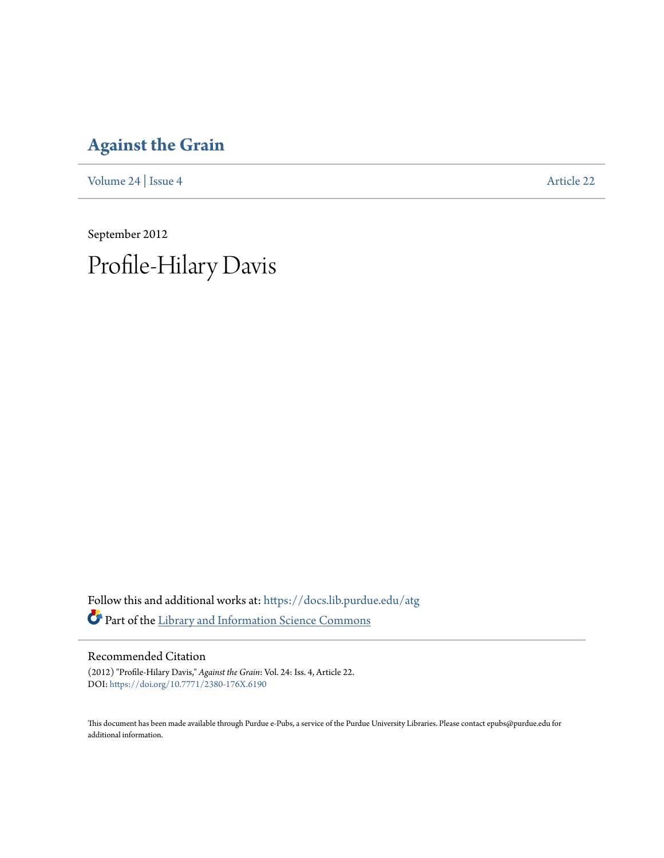# **[Against the Grain](https://docs.lib.purdue.edu/atg?utm_source=docs.lib.purdue.edu%2Fatg%2Fvol24%2Fiss4%2F22&utm_medium=PDF&utm_campaign=PDFCoverPages)**

[Volume 24](https://docs.lib.purdue.edu/atg/vol24?utm_source=docs.lib.purdue.edu%2Fatg%2Fvol24%2Fiss4%2F22&utm_medium=PDF&utm_campaign=PDFCoverPages) | [Issue 4](https://docs.lib.purdue.edu/atg/vol24/iss4?utm_source=docs.lib.purdue.edu%2Fatg%2Fvol24%2Fiss4%2F22&utm_medium=PDF&utm_campaign=PDFCoverPages) [Article 22](https://docs.lib.purdue.edu/atg/vol24/iss4/22?utm_source=docs.lib.purdue.edu%2Fatg%2Fvol24%2Fiss4%2F22&utm_medium=PDF&utm_campaign=PDFCoverPages)

September 2012 Profile-Hilary Davis

Follow this and additional works at: [https://docs.lib.purdue.edu/atg](https://docs.lib.purdue.edu/atg?utm_source=docs.lib.purdue.edu%2Fatg%2Fvol24%2Fiss4%2F22&utm_medium=PDF&utm_campaign=PDFCoverPages) Part of the [Library and Information Science Commons](http://network.bepress.com/hgg/discipline/1018?utm_source=docs.lib.purdue.edu%2Fatg%2Fvol24%2Fiss4%2F22&utm_medium=PDF&utm_campaign=PDFCoverPages)

### Recommended Citation

(2012) "Profile-Hilary Davis," *Against the Grain*: Vol. 24: Iss. 4, Article 22. DOI: <https://doi.org/10.7771/2380-176X.6190>

This document has been made available through Purdue e-Pubs, a service of the Purdue University Libraries. Please contact epubs@purdue.edu for additional information.